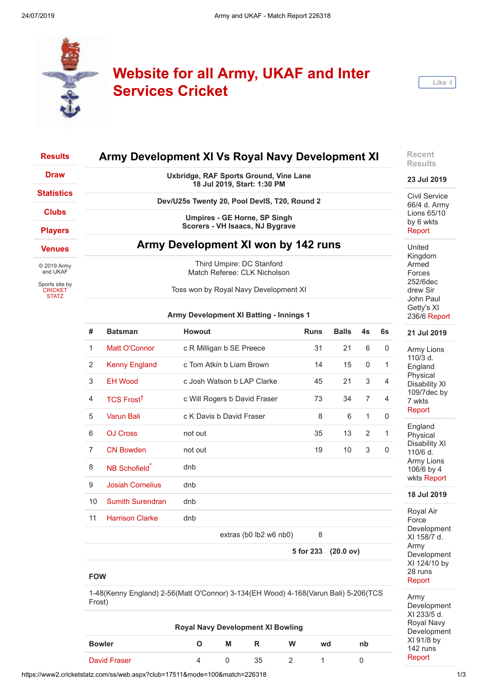

# **Website for all Army, UKAF and Inter Services Cricket**



| <b>Results</b>                                   |                                     |                | Army Development XI Vs Royal Navy Development XI                      |             |              |    |    | <b>Recent</b><br><b>Results</b>    |
|--------------------------------------------------|-------------------------------------|----------------|-----------------------------------------------------------------------|-------------|--------------|----|----|------------------------------------|
| <b>Draw</b>                                      |                                     |                | Uxbridge, RAF Sports Ground, Vine Lane<br>18 Jul 2019, Start: 1:30 PM |             |              |    |    | 23 Jul 2019                        |
| <b>Statistics</b>                                |                                     |                | Dev/U25s Twenty 20, Pool DevIS, T20, Round 2                          |             |              |    |    | Civil Service<br>66/4 d. Army      |
| <b>Clubs</b><br><b>Players</b>                   |                                     |                | Umpires - GE Horne, SP Singh<br>Scorers - VH Isaacs, NJ Bygrave       |             |              |    |    | Lions 65/10<br>by 6 wkts<br>Report |
| <b>Venues</b>                                    | Army Development XI won by 142 runs |                |                                                                       |             |              |    |    |                                    |
| © 2019 Army<br>and UKAF                          |                                     |                | Third Umpire: DC Stanford<br>Match Referee: CLK Nicholson             |             |              |    |    | Kingdom<br>Armed<br>Forces         |
| Sports site by<br><b>CRICKET</b><br><b>STATZ</b> |                                     |                | Toss won by Royal Navy Development XI                                 |             |              |    |    | 252/6dec<br>drew Sir<br>John Paul  |
|                                                  |                                     |                | Army Development XI Batting - Innings 1                               |             |              |    |    | Getty's XI<br>236/6 Report         |
|                                                  | #                                   | <b>Batsman</b> | <b>Howout</b>                                                         | <b>Runs</b> | <b>Balls</b> | 4s | 6s | 21 Jul 2019                        |
|                                                  |                                     | Matt O'Connor  | c R Milligan b SE Preece                                              | 31          | 21           | 6  | 0  | Army Lions                         |

110/3 d. England Physical Disability XI 109/7dec by 7 wkts [Report](https://www2.cricketstatz.com/ss/runreport2.aspx?club=17511&mode=100&match=226407)

England Physical Disability XI 110/6 d. Army Lions 106/6 by 4 wkts [Report](https://www2.cricketstatz.com/ss/runreport2.aspx?club=17511&mode=100&match=226404)

#### **18 Jul 2019**

Royal Air Force Development XI 158/7 d. Army Development XI 124/10 by 28 runs [Report](https://www2.cricketstatz.com/ss/runreport2.aspx?club=17511&mode=100&match=226319)

Army Development XI 233/5 d. Royal Navy Development XI 91/8 by 142 runs [Report](https://www2.cricketstatz.com/ss/runreport2.aspx?club=17511&mode=100&match=226318)

| #  | <b>Batsman</b>            | Howout                       | <b>Runs</b> | <b>Balls</b> | 4s             | 6s           |
|----|---------------------------|------------------------------|-------------|--------------|----------------|--------------|
| 1  | Matt O'Connor             | c R Milligan b SE Preece     | 31          | 21           | 6              | 0            |
| 2  | <b>Kenny England</b>      | c Tom Atkin b Liam Brown     | 14          | 15           | 0              | 1            |
| 3  | <b>EH Wood</b>            | c Josh Watson b LAP Clarke   | 45          | 21           | 3              | 4            |
| 4  | TCS Frost <sup>†</sup>    | c Will Rogers b David Fraser | 73          | 34           | $\overline{7}$ | 4            |
| 5  | <b>Varun Bali</b>         | c K Davis b David Fraser     | 8           | 6            | $\mathbf{1}$   | $\Omega$     |
| 6  | <b>OJ Cross</b>           | not out                      | 35          | 13           | $\overline{2}$ | $\mathbf{1}$ |
| 7  | <b>CN Bowden</b>          | not out                      | 19          | 10           | 3              | 0            |
| 8  | NB Schofield <sup>*</sup> | dnb                          |             |              |                |              |
| 9  | <b>Josiah Cornelius</b>   | dnb                          |             |              |                |              |
| 10 | <b>Sumith Surendran</b>   | dnb                          |             |              |                |              |
| 11 | <b>Harrison Clarke</b>    | dnb                          |             |              |                |              |
|    |                           | extras (b0 lb2 w6 nb0)       | 8           |              |                |              |
|    |                           |                              | 5 for 233   | (20.0 ov)    |                |              |
|    |                           |                              |             |              |                |              |

### **FOW**

1-48(Kenny England) 2-56(Matt O'Connor) 3-134(EH Wood) 4-168(Varun Bali) 5-206(TCS Frost)

| <b>Royal Navy Development XI Bowling</b> |  |   |    |   |    |    |  |  |  |  |
|------------------------------------------|--|---|----|---|----|----|--|--|--|--|
| <b>Bowler</b>                            |  | M | R  | w | wd | nb |  |  |  |  |
| David Fraser                             |  |   | 35 |   |    |    |  |  |  |  |

https://www2.cricketstatz.com/ss/web.aspx?club=17511&mode=100&match=226318 1/3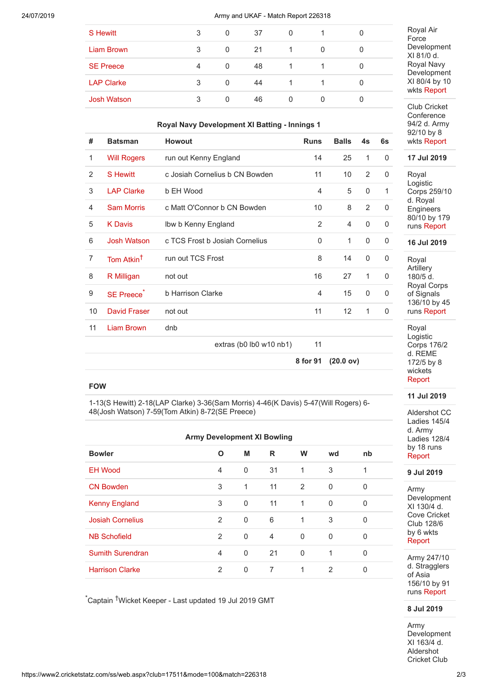#### 24/07/2019 Army and UKAF - Match Report 226318

| 3 | 0 | 37 | 0 |  |
|---|---|----|---|--|
| 3 | 0 | 21 |   |  |
| 4 | 0 | 48 |   |  |
| 3 | 0 | 44 |   |  |
| 3 | 0 | 46 | 0 |  |
|   |   |    |   |  |

#### **Royal Navy Development XI Batting - Innings 1**

| #              | <b>Batsman</b>         | <b>Howout</b>                  | <b>Runs</b>    | <b>Balls</b>    | 4s          | 6s           |
|----------------|------------------------|--------------------------------|----------------|-----------------|-------------|--------------|
| 1              | <b>Will Rogers</b>     | run out Kenny England          | 14             | 25              | 1           | $\Omega$     |
| 2              | <b>S</b> Hewitt        | c Josiah Cornelius b CN Bowden | 11             | 10              | 2           | 0            |
| 3              | <b>LAP Clarke</b>      | b EH Wood                      | $\overline{4}$ | 5               | $\Omega$    | $\mathbf{1}$ |
| $\overline{4}$ | <b>Sam Morris</b>      | c Matt O'Connor b CN Bowden    | 10             | 8               | 2           | 0            |
| 5              | <b>K</b> Davis         | Ibw b Kenny England            | 2              | 4               | $\mathbf 0$ | $\mathbf 0$  |
| 6              | <b>Josh Watson</b>     | c TCS Frost b Josiah Cornelius | 0              | 1               | 0           | 0            |
| $\overline{7}$ | Tom Atkin <sup>†</sup> | run out TCS Frost              | 8              | 14              | $\Omega$    | $\Omega$     |
| 8              | R Milligan             | not out                        | 16             | 27              | 1           | $\Omega$     |
| 9              | <b>SE Preece</b>       | b Harrison Clarke              | $\overline{4}$ | 15              | $\Omega$    | $\Omega$     |
| 10             | David Fraser           | not out                        | 11             | 12 <sup>2</sup> | 1           | $\Omega$     |
| 11             | <b>Liam Brown</b>      | dnb                            |                |                 |             |              |
|                |                        | extras (b0 lb0 w10 nb1)        | 11             |                 |             |              |
|                |                        |                                | 8 for 91       | (20.0 ov)       |             |              |

## **FOW**

1-13(S Hewitt) 2-18(LAP Clarke) 3-36(Sam Morris) 4-46(K Davis) 5-47(Will Rogers) 6- 48(Josh Watson) 7-59(Tom Atkin) 8-72(SE Preece)

| <b>Army Development XI Bowling</b> |                |          |                |              |                |              |  |
|------------------------------------|----------------|----------|----------------|--------------|----------------|--------------|--|
| <b>Bowler</b>                      | O              | M        | R              | W            | wd             | nb           |  |
| <b>EH Wood</b>                     | $\overline{4}$ | 0        | 31             | $\mathbf{1}$ | 3              | 1            |  |
| <b>CN Bowden</b>                   | 3              | 1        | 11             | 2            | $\mathbf 0$    | $\Omega$     |  |
| <b>Kenny England</b>               | 3              | 0        | 11             | $\mathbf{1}$ | 0              | $\Omega$     |  |
| <b>Josiah Cornelius</b>            | 2              | $\Omega$ | 6              | $\mathbf{1}$ | 3              | $\Omega$     |  |
| <b>NB Schofield</b>                | 2              | 0        | $\overline{4}$ | $\Omega$     | $\Omega$       | $\Omega$     |  |
| <b>Sumith Surendran</b>            | $\overline{4}$ | 0        | 21             | $\Omega$     | 1              | $\Omega$     |  |
| <b>Harrison Clarke</b>             | 2              | $\Omega$ | 7              | 1            | $\overline{2}$ | $\mathbf{0}$ |  |

\*Captain †Wicket Keeper - Last updated 19 Jul 2019 GMT

Royal Air Force Development XI 81/0 d. Royal Navy Development XI 80/4 by 10 wkts [Report](https://www2.cricketstatz.com/ss/runreport2.aspx?club=17511&mode=100&match=226317)

Club Cricket **Conference** 94/2 d. Army 92/10 by 8 wkts [Report](https://www2.cricketstatz.com/ss/runreport2.aspx?club=17511&mode=100&match=226322)

**17 Jul 2019**

Royal Logistic Corps 259/10 d. Royal Engineers 80/10 by 179 runs [Report](https://www2.cricketstatz.com/ss/runreport2.aspx?club=17511&mode=100&match=226326)

**16 Jul 2019**

Royal **Artillery** 180/5 d. Royal Corps of Signals 136/10 by 45 runs [Report](https://www2.cricketstatz.com/ss/runreport2.aspx?club=17511&mode=100&match=226280)

Royal Logistic Corps 176/2 d. REME 172/5 by 8 wickets [Report](https://www2.cricketstatz.com/ss/runreport2.aspx?club=17511&mode=100&match=226278)

#### **11 Jul 2019**

Aldershot CC Ladies 145/4 d. Army Ladies 128/4 by 18 runs [Report](https://www2.cricketstatz.com/ss/runreport2.aspx?club=17511&mode=100&match=226116)

**9 Jul 2019**

Army Development XI 130/4 d. Cove Cricket Club 128/6 by 6 wkts [Report](https://www2.cricketstatz.com/ss/runreport2.aspx?club=17511&mode=100&match=221481)

Army 247/10 d. Stragglers of Asia 156/10 by 91 runs [Report](https://www2.cricketstatz.com/ss/runreport2.aspx?club=17511&mode=100&match=221465)

# **8 Jul 2019**

Army Development XI 163/4 d. Aldershot Cricket Club